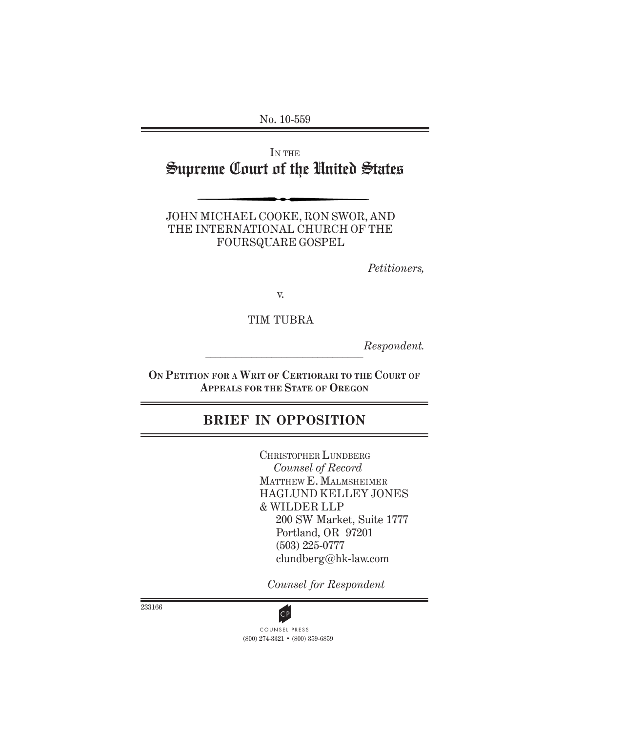No. 10-559

IN THE Supreme Court of the United States

JOHN MICHAEL COOKE, RON SWOR, AND THE INTERNATIONAL CHURCH OF THE FOURSQUARE GOSPEL

*Petitioners,*

v.

TIM TUBRA

 $\mathcal{L}_\text{max}$ *Respondent.*

**ON PETITION FOR A WRIT OF CERTIORARI TO THE COURT OF APPEALS FOR THE STATE OF OREGON**

# **BRIEF IN OPPOSITION**

CHRISTOPHER LUNDBERG  *Counsel of Record* MATTHEW E. MALMSHEIMER HAGLUND KELLEY JONES & WILDER LLP 200 SW Market, Suite 1777 Portland, OR 97201 (503) 225-0777 clundberg@hk-law.com

*Counsel for Respondent*

233166



(800) 274-3321 • (800) 359-6859 **CP**<br>COUNSEL PRESS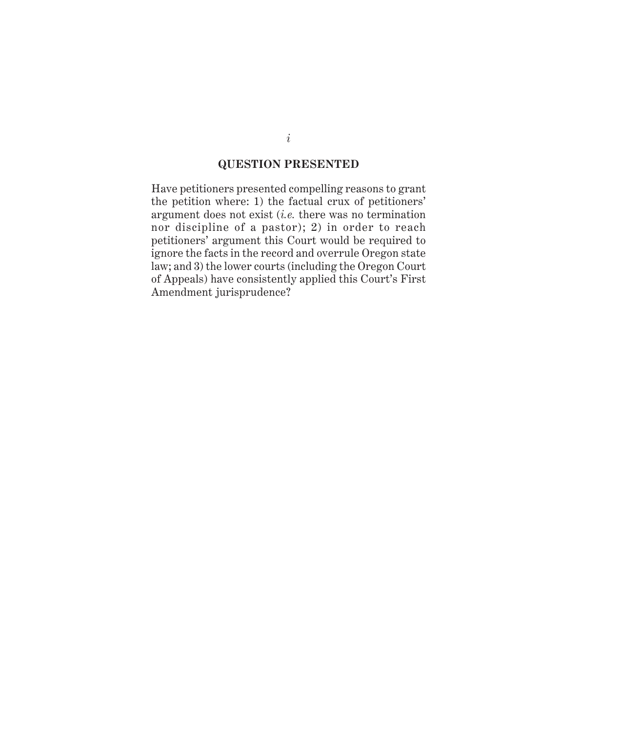#### **QUESTION PRESENTED**

Have petitioners presented compelling reasons to grant the petition where: 1) the factual crux of petitioners' argument does not exist (*i.e.* there was no termination nor discipline of a pastor); 2) in order to reach petitioners' argument this Court would be required to ignore the facts in the record and overrule Oregon state law; and 3) the lower courts (including the Oregon Court of Appeals) have consistently applied this Court's First Amendment jurisprudence?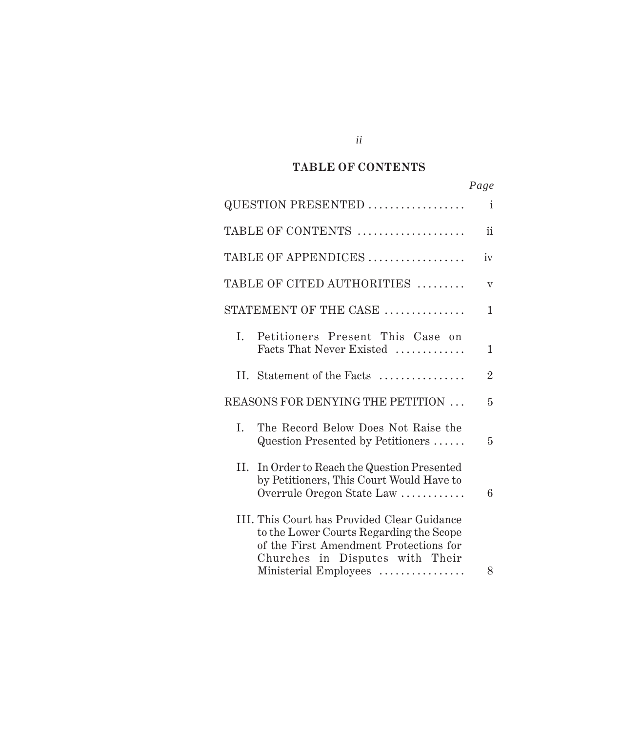#### *Cited Authorities* **TABLE OF CONTENTS**

|                                                                                                                                                                     | Page           |
|---------------------------------------------------------------------------------------------------------------------------------------------------------------------|----------------|
| QUESTION PRESENTED                                                                                                                                                  | $\mathbf{i}$   |
| TABLE OF CONTENTS                                                                                                                                                   | $\mathbf{ii}$  |
| TABLE OF APPENDICES                                                                                                                                                 | iv             |
| TABLE OF CITED AUTHORITIES                                                                                                                                          | $\rm V$        |
| STATEMENT OF THE CASE                                                                                                                                               | $\mathbf{1}$   |
| Petitioners Present This Case on<br>L.<br>Facts That Never Existed                                                                                                  | 1              |
| II. Statement of the Facts                                                                                                                                          | $\overline{2}$ |
| REASONS FOR DENYING THE PETITION                                                                                                                                    | 5              |
| The Record Below Does Not Raise the<br>L.<br>Question Presented by Petitioners                                                                                      | 5              |
| II. In Order to Reach the Question Presented<br>by Petitioners, This Court Would Have to<br>Overrule Oregon State Law                                               | 6              |
| III. This Court has Provided Clear Guidance<br>to the Lower Courts Regarding the Scope<br>of the First Amendment Protections for<br>Churches in Disputes with Their |                |
| Ministerial Employees                                                                                                                                               | 8              |

*ii*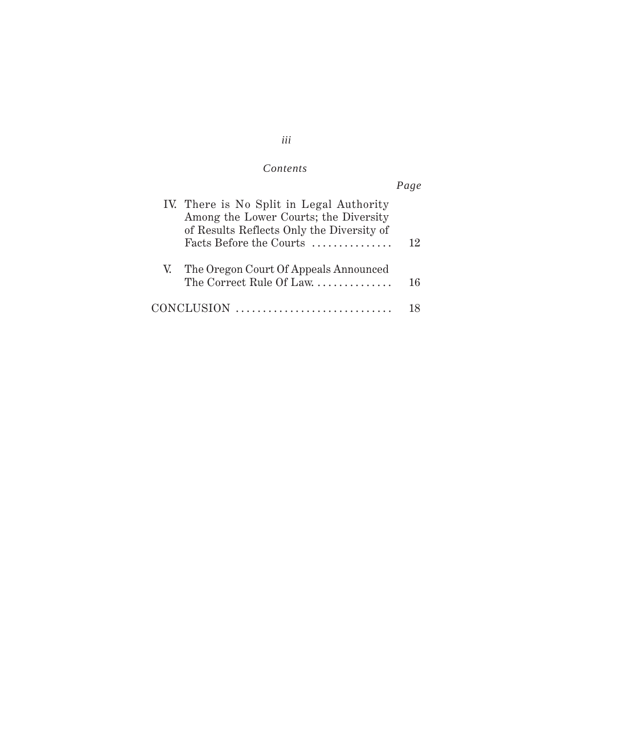# *iii*

## $Contents$

|                                                                                                                                | Page |
|--------------------------------------------------------------------------------------------------------------------------------|------|
| IV. There is No Split in Legal Authority<br>Among the Lower Courts; the Diversity<br>of Results Reflects Only the Diversity of |      |
| Facts Before the Courts                                                                                                        | 12   |
| V. The Oregon Court Of Appeals Announced<br>The Correct Rule Of Law.                                                           | 16   |
| CONCLUSION                                                                                                                     |      |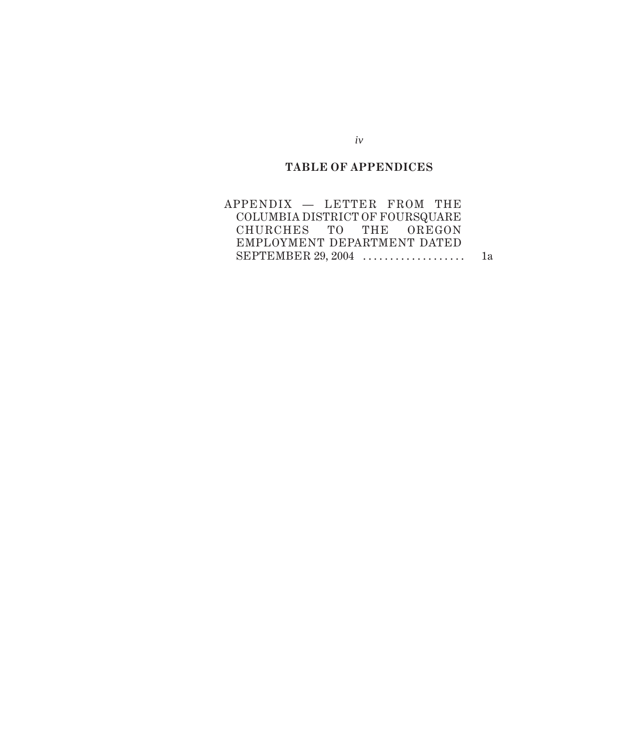# **TABLE OF APPENDICES**

| APPENDIX - LETTER FROM THE      |  |  |    |
|---------------------------------|--|--|----|
| COLUMBIA DISTRICT OF FOURSQUARE |  |  |    |
| CHURCHES TO THE OREGON          |  |  |    |
| EMPLOYMENT DEPARTMENT DATED     |  |  |    |
| SEPTEMBER $29, 2004$            |  |  | 1a |

*iv*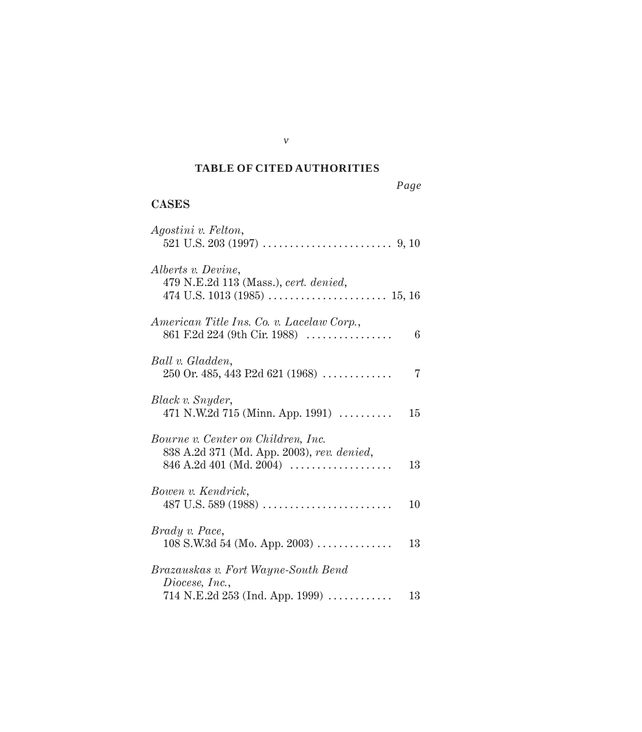#### *Cited Authorities* **TABLE OF CITED AUTHORITIES**

# **CASES**

| Agostini v. Felton,                                                                                             |    |
|-----------------------------------------------------------------------------------------------------------------|----|
| Alberts v. Devine,<br>479 N.E.2d 113 (Mass.), cert. denied,                                                     |    |
| American Title Ins. Co. v. Lacelaw Corp.,<br>861 F.2d 224 (9th Cir. 1988)                                       | 6  |
| Ball v. Gladden,<br>250 Or. 485, 443 P.2d 621 (1968)                                                            | 7  |
| Black v. Snyder,<br>471 N.W.2d 715 (Minn. App. 1991) $\ldots$                                                   | 15 |
| Bourne v. Center on Children, Inc.<br>838 A.2d 371 (Md. App. 2003), rev. denied,<br>$846$ A.2d $401$ (Md. 2004) | 13 |
| Bowen v. Kendrick,                                                                                              | 10 |
| Brady v. Pace,<br>$108$ S.W.3d 54 (Mo. App. 2003)                                                               | 13 |
| Brazauskas v. Fort Wayne-South Bend<br>Diocese, Inc.,<br>$714$ N.E.2d $253$ (Ind. App. 1999)                    | 13 |

*v*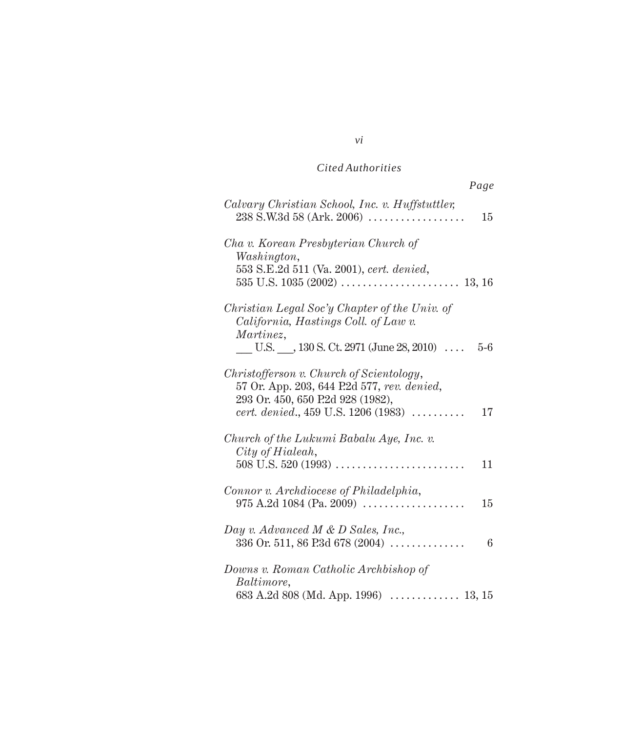| Page                                                                                                                                                                      |
|---------------------------------------------------------------------------------------------------------------------------------------------------------------------------|
| Calvary Christian School, Inc. v. Huffstuttler,<br>$238$ S.W.3d 58 (Ark. 2006)<br>15                                                                                      |
| Cha v. Korean Presbyterian Church of<br>Washington,<br>553 S.E.2d 511 (Va. 2001), cert. denied,                                                                           |
| Christian Legal Soc'y Chapter of the Univ. of<br>California, Hastings Coll. of Law v.<br>Martinez,<br>U.S. $\_\_$ , 130 S. Ct. 2971 (June 28, 2010) $\,\ldots$<br>$5-6$   |
| Christofferson v. Church of Scientology,<br>57 Or. App. 203, 644 P.2d 577, rev. denied,<br>293 Or. 450, 650 P.2d 928 (1982),<br>cert. denied., 459 U.S. 1206 (1983)<br>17 |
| Church of the Lukumi Babalu Aye, Inc. v.<br>City of Hialeah,<br>11                                                                                                        |
| Connor v. Archdiocese of Philadelphia,<br>$975$ A.2d 1084 (Pa. 2009)<br>15                                                                                                |
| Day v. Advanced M & D Sales, Inc.,<br>336 Or. 511, 86 P.3d 678 (2004)<br>6                                                                                                |
| Downs v. Roman Catholic Archbishop of<br>Baltimore,<br>683 A.2d 808 (Md. App. 1996)<br>. 13, 15                                                                           |

*vi*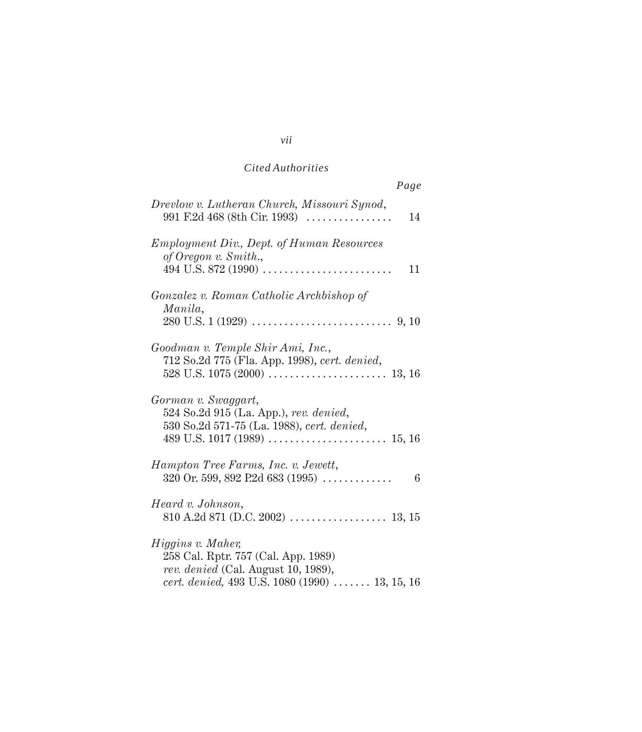| Page                                                                                                                                              |
|---------------------------------------------------------------------------------------------------------------------------------------------------|
| Drevlow v. Lutheran Church, Missouri Synod,<br>991 F.2d 468 (8th Cir. 1993) $\ldots$<br>14                                                        |
| <b>Employment Div., Dept. of Human Resources</b><br>of Oregon v. Smith.,<br>11                                                                    |
| Gonzalez v. Roman Catholic Archbishop of<br>Manila,                                                                                               |
| Goodman v. Temple Shir Ami, Inc.,<br>712 So.2d 775 (Fla. App. 1998), cert. denied,                                                                |
| Gorman v. Swaggart,<br>524 So.2d 915 (La. App.), rev. denied,<br>530 So.2d 571-75 (La. 1988), cert. denied,                                       |
| Hampton Tree Farms, Inc. v. Jewett,<br>320 Or. 599, 892 P.2d 683 (1995) $\ldots$<br>6                                                             |
| Heard v. Johnson,                                                                                                                                 |
| Higgins v. Maher,<br>258 Cal. Rptr. 757 (Cal. App. 1989)<br>rev. denied (Cal. August 10, 1989),<br>cert. denied, 493 U.S. 1080 (1990)  13, 15, 16 |

#### *vii*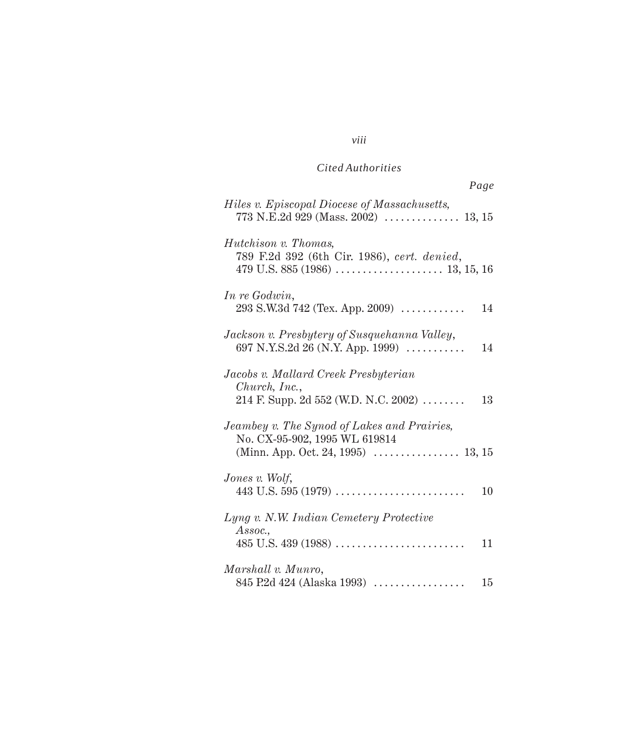|                                                                                                                    | Page |
|--------------------------------------------------------------------------------------------------------------------|------|
| Hiles v. Episcopal Diocese of Massachusetts,                                                                       |      |
| <i>Hutchison v. Thomas,</i><br>789 F.2d 392 (6th Cir. 1986), cert. denied,                                         |      |
| In re Godwin,<br>$293$ S.W.3d 742 (Tex. App. 2009) $\ldots$                                                        | 14   |
| Jackson v. Presbytery of Susquehanna Valley,<br>697 N.Y.S.2d 26 (N.Y. App. 1999) $\ldots$                          | 14   |
| Jacobs v. Mallard Creek Presbyterian<br>Church, Inc.,<br>214 F. Supp. 2d 552 (W.D. N.C. 2002)                      | 13   |
| Jeambey v. The Synod of Lakes and Prairies,<br>No. CX-95-902, 1995 WL 619814<br>(Minn. App. Oct. 24, 1995)  13, 15 |      |
| Jones v. Wolf,                                                                                                     | 10   |
| Lyng v. N.W. Indian Cemetery Protective<br>Assoc.,                                                                 | 11   |
| Marshall v. Munro,<br>845 P.2d 424 (Alaska 1993)                                                                   | 15   |

#### *viii*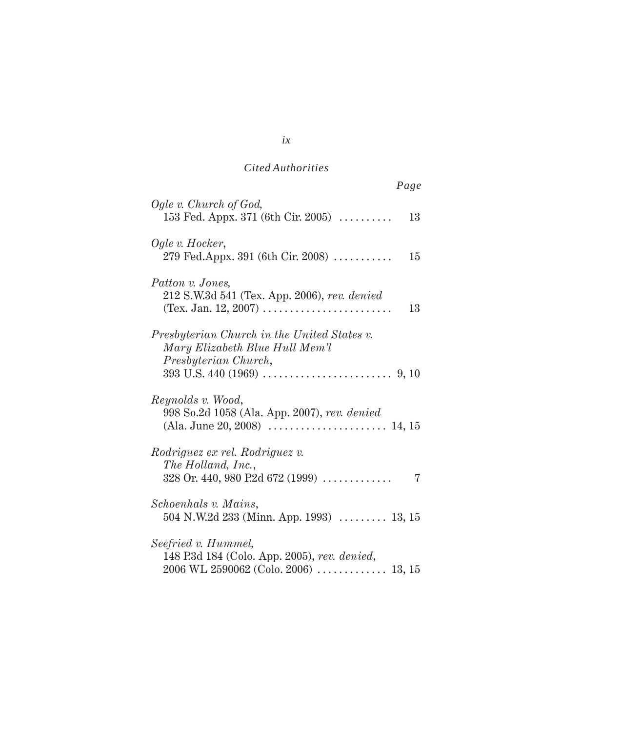| Page                                                                                                        |  |
|-------------------------------------------------------------------------------------------------------------|--|
| Ogle v. Church of God,<br>153 Fed. Appx. 371 (6th Cir. 2005) $\ldots$<br>13                                 |  |
| Ogle v. Hocker,<br>279 Fed.Appx. 391 (6th Cir. 2008)<br>15                                                  |  |
| Patton v. Jones,<br>212 S.W.3d 541 (Tex. App. 2006), rev. denied<br>13                                      |  |
| Presbyterian Church in the United States v.<br>Mary Elizabeth Blue Hull Mem'l<br>Presbyterian Church,       |  |
| Reynolds v. Wood,<br>998 So.2d 1058 (Ala. App. 2007), rev. denied                                           |  |
| Rodriguez ex rel. Rodriguez v.<br>The Holland, Inc.,<br>328 Or. 440, 980 P.2d 672 (1999)<br>7               |  |
| Schoenhals v. Mains,<br>504 N.W.2d 233 (Minn. App. 1993) $\ldots$ 13, 15                                    |  |
| Seefried v. Hummel,<br>148 P.3d 184 (Colo. App. 2005), rev. denied,<br>2006 WL 2590062 (Colo. 2006)  13, 15 |  |

*ix*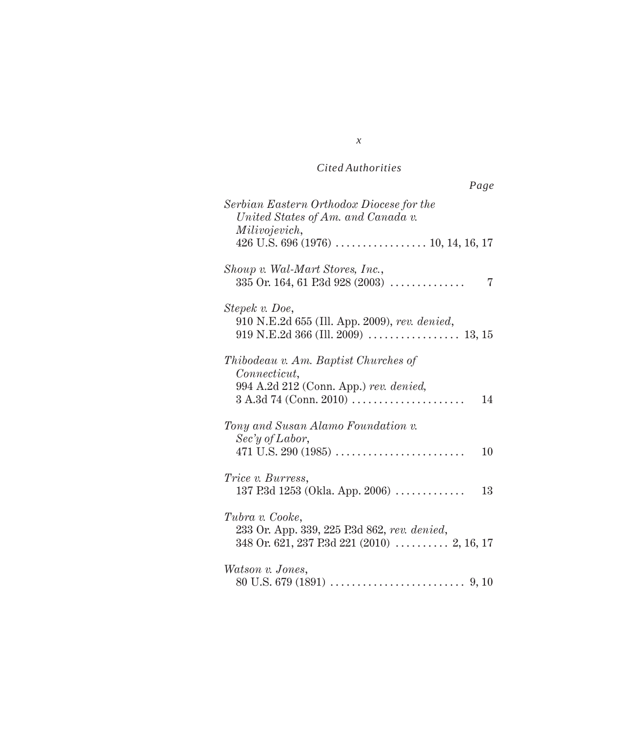| Page                                                                                                                                           |
|------------------------------------------------------------------------------------------------------------------------------------------------|
| Serbian Eastern Orthodox Diocese for the<br>United States of Am. and Canada v.<br>Milivojevich,                                                |
| Shoup v. Wal-Mart Stores, Inc.,<br>$335$ Or. 164, 61 P.3d 928 (2003)<br>7                                                                      |
| Stepek v. Doe,<br>910 N.E.2d 655 (Ill. App. 2009), rev. denied,                                                                                |
| <i>Thibodeau v. Am. Baptist Churches of</i><br>Connecticut,<br>994 A.2d 212 (Conn. App.) rev. denied,<br>$3 A.3d 74 (Conn. 2010) \ldots$<br>14 |
| Tony and Susan Alamo Foundation v.<br>$\text{Sec'}y \text{ of } \text{Labor},$<br>10                                                           |
| <i>Trice v. Burress,</i><br>137 P.3d 1253 (Okla. App. 2006) $\ldots \ldots \ldots$<br>13                                                       |
| Tubra v. Cooke,<br>233 Or. App. 339, 225 P.3d 862, rev. denied,                                                                                |
| Watson v. Jones,                                                                                                                               |

*x*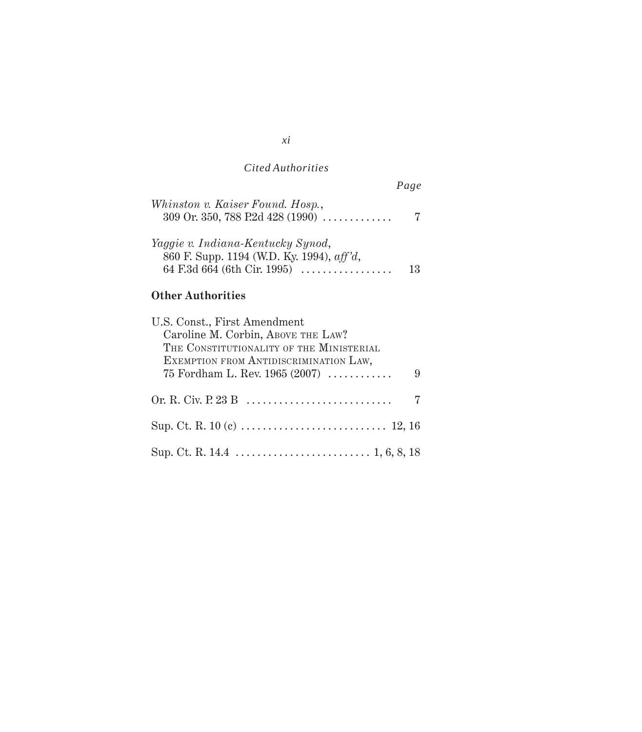|                                                                                                                        | Page |
|------------------------------------------------------------------------------------------------------------------------|------|
| Whinston v. Kaiser Found. Hosp.,<br>309 Or. 350, 788 P.2d 428 (1990)                                                   |      |
| Yaggie v. Indiana-Kentucky Synod,<br>860 F. Supp. 1194 (W.D. Ky. 1994), aff'd,<br>64 F.3d 664 (6th Cir. 1995) $\ldots$ |      |

# **Other Authorities**

## *xi*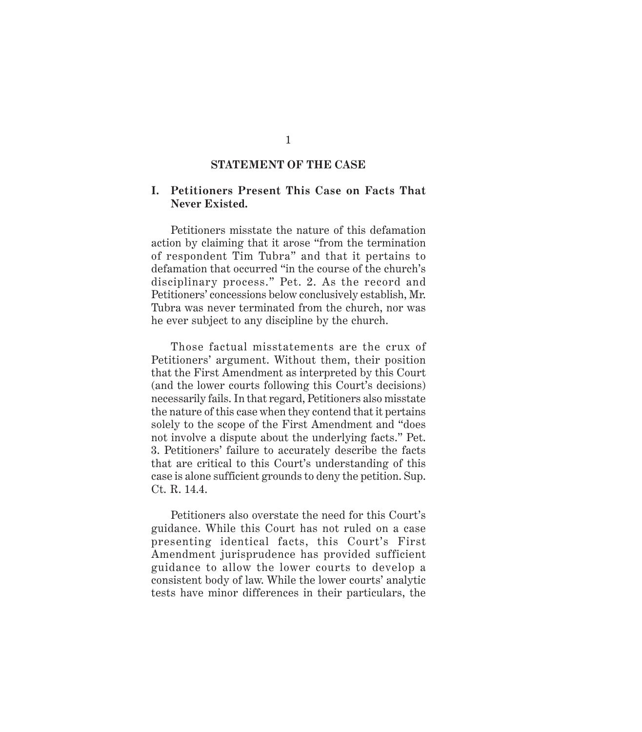## **STATEMENT OF THE CASE**

### **I. Petitioners Present This Case on Facts That Never Existed.**

Petitioners misstate the nature of this defamation action by claiming that it arose "from the termination of respondent Tim Tubra" and that it pertains to defamation that occurred "in the course of the church's disciplinary process." Pet. 2. As the record and Petitioners' concessions below conclusively establish, Mr. Tubra was never terminated from the church, nor was he ever subject to any discipline by the church.

Those factual misstatements are the crux of Petitioners' argument. Without them, their position that the First Amendment as interpreted by this Court (and the lower courts following this Court's decisions) necessarily fails. In that regard, Petitioners also misstate the nature of this case when they contend that it pertains solely to the scope of the First Amendment and "does not involve a dispute about the underlying facts." Pet. 3. Petitioners' failure to accurately describe the facts that are critical to this Court's understanding of this case is alone sufficient grounds to deny the petition. Sup. Ct. R. 14.4.

Petitioners also overstate the need for this Court's guidance. While this Court has not ruled on a case presenting identical facts, this Court's First Amendment jurisprudence has provided sufficient guidance to allow the lower courts to develop a consistent body of law. While the lower courts' analytic tests have minor differences in their particulars, the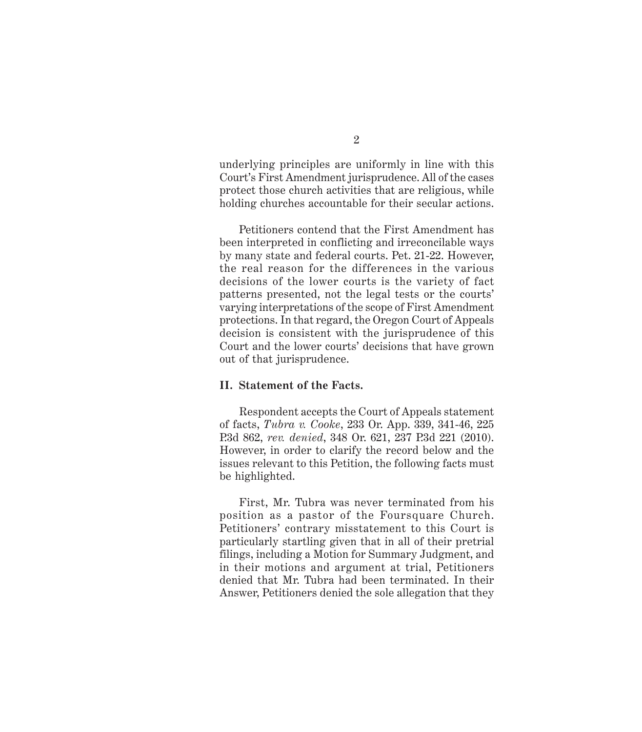underlying principles are uniformly in line with this Court's First Amendment jurisprudence. All of the cases protect those church activities that are religious, while holding churches accountable for their secular actions.

Petitioners contend that the First Amendment has been interpreted in conflicting and irreconcilable ways by many state and federal courts. Pet. 21-22. However, the real reason for the differences in the various decisions of the lower courts is the variety of fact patterns presented, not the legal tests or the courts' varying interpretations of the scope of First Amendment protections. In that regard, the Oregon Court of Appeals decision is consistent with the jurisprudence of this Court and the lower courts' decisions that have grown out of that jurisprudence.

#### **II. Statement of the Facts.**

Respondent accepts the Court of Appeals statement of facts, *Tubra v. Cooke*, 233 Or. App. 339, 341-46, 225 P.3d 862, *rev. denied*, 348 Or. 621, 237 P.3d 221 (2010). However, in order to clarify the record below and the issues relevant to this Petition, the following facts must be highlighted.

First, Mr. Tubra was never terminated from his position as a pastor of the Foursquare Church. Petitioners' contrary misstatement to this Court is particularly startling given that in all of their pretrial filings, including a Motion for Summary Judgment, and in their motions and argument at trial, Petitioners denied that Mr. Tubra had been terminated. In their Answer, Petitioners denied the sole allegation that they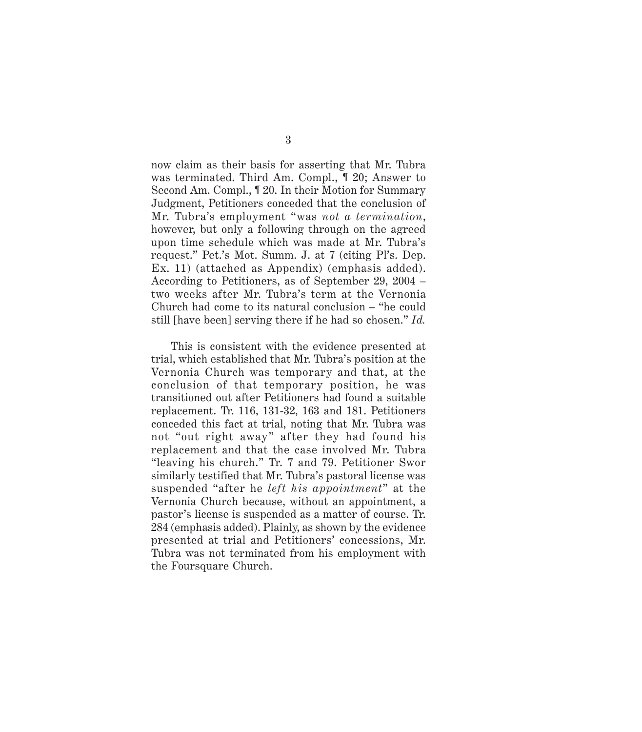now claim as their basis for asserting that Mr. Tubra was terminated. Third Am. Compl., ¶ 20; Answer to Second Am. Compl., ¶ 20. In their Motion for Summary Judgment, Petitioners conceded that the conclusion of Mr. Tubra's employment "was *not a termination*, however, but only a following through on the agreed upon time schedule which was made at Mr. Tubra's request." Pet.'s Mot. Summ. J. at 7 (citing Pl's. Dep. Ex. 11) (attached as Appendix) (emphasis added). According to Petitioners, as of September 29, 2004 – two weeks after Mr. Tubra's term at the Vernonia Church had come to its natural conclusion – "he could still [have been] serving there if he had so chosen." *Id.*

This is consistent with the evidence presented at trial, which established that Mr. Tubra's position at the Vernonia Church was temporary and that, at the conclusion of that temporary position, he was transitioned out after Petitioners had found a suitable replacement. Tr. 116, 131-32, 163 and 181. Petitioners conceded this fact at trial, noting that Mr. Tubra was not "out right away" after they had found his replacement and that the case involved Mr. Tubra "leaving his church." Tr. 7 and 79. Petitioner Swor similarly testified that Mr. Tubra's pastoral license was suspended "after he *left his appointment*" at the Vernonia Church because, without an appointment, a pastor's license is suspended as a matter of course. Tr. 284 (emphasis added). Plainly, as shown by the evidence presented at trial and Petitioners' concessions, Mr. Tubra was not terminated from his employment with the Foursquare Church.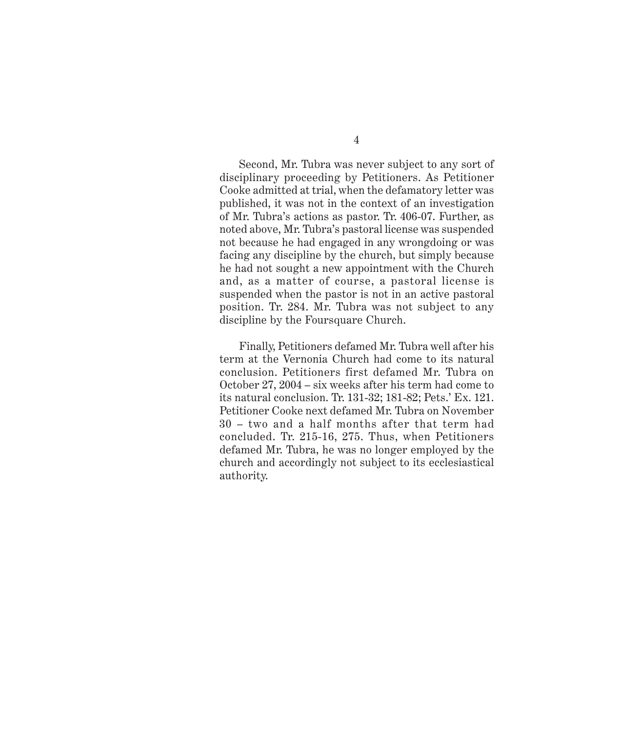Second, Mr. Tubra was never subject to any sort of disciplinary proceeding by Petitioners. As Petitioner Cooke admitted at trial, when the defamatory letter was published, it was not in the context of an investigation of Mr. Tubra's actions as pastor. Tr. 406-07. Further, as noted above, Mr. Tubra's pastoral license was suspended not because he had engaged in any wrongdoing or was facing any discipline by the church, but simply because he had not sought a new appointment with the Church and, as a matter of course, a pastoral license is suspended when the pastor is not in an active pastoral position. Tr. 284. Mr. Tubra was not subject to any discipline by the Foursquare Church.

Finally, Petitioners defamed Mr. Tubra well after his term at the Vernonia Church had come to its natural conclusion. Petitioners first defamed Mr. Tubra on October 27, 2004 – six weeks after his term had come to its natural conclusion. Tr. 131-32; 181-82; Pets.' Ex. 121. Petitioner Cooke next defamed Mr. Tubra on November 30 – two and a half months after that term had concluded. Tr. 215-16, 275. Thus, when Petitioners defamed Mr. Tubra, he was no longer employed by the church and accordingly not subject to its ecclesiastical authority.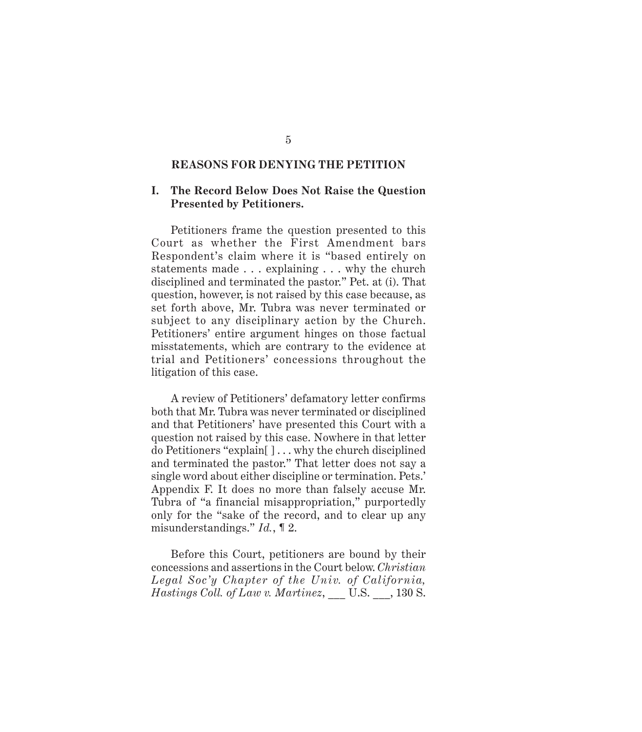## **REASONS FOR DENYING THE PETITION**

#### **I. The Record Below Does Not Raise the Question Presented by Petitioners.**

Petitioners frame the question presented to this Court as whether the First Amendment bars Respondent's claim where it is "based entirely on statements made . . . explaining . . . why the church disciplined and terminated the pastor." Pet. at (i). That question, however, is not raised by this case because, as set forth above, Mr. Tubra was never terminated or subject to any disciplinary action by the Church. Petitioners' entire argument hinges on those factual misstatements, which are contrary to the evidence at trial and Petitioners' concessions throughout the litigation of this case.

A review of Petitioners' defamatory letter confirms both that Mr. Tubra was never terminated or disciplined and that Petitioners' have presented this Court with a question not raised by this case. Nowhere in that letter do Petitioners "explain[ ] . . . why the church disciplined and terminated the pastor." That letter does not say a single word about either discipline or termination. Pets.' Appendix F. It does no more than falsely accuse Mr. Tubra of "a financial misappropriation," purportedly only for the "sake of the record, and to clear up any misunderstandings." *Id.*, ¶ 2.

Before this Court, petitioners are bound by their concessions and assertions in the Court below. *Christian Legal Soc'y Chapter of the Univ. of California, Hastings Coll. of Law v. Martinez*, \_\_\_ U.S. \_\_\_, 130 S.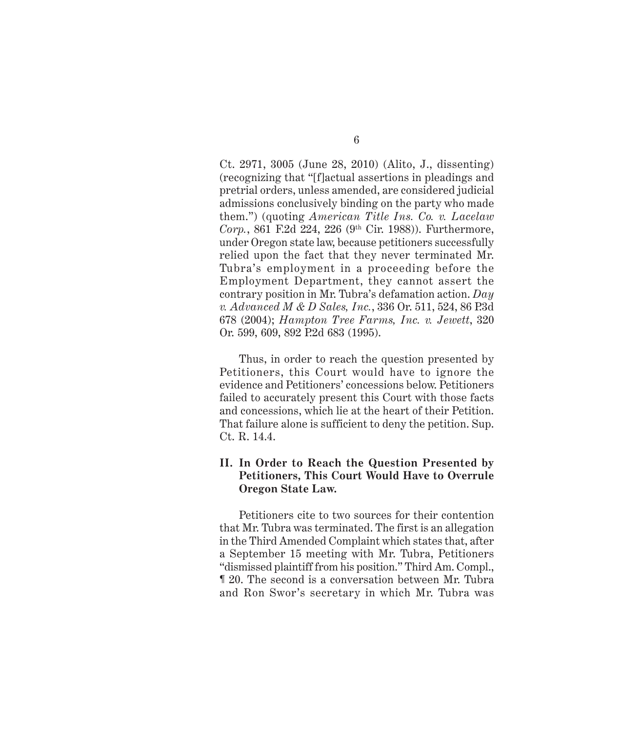Ct. 2971, 3005 (June 28, 2010) (Alito, J., dissenting) (recognizing that "[f]actual assertions in pleadings and pretrial orders, unless amended, are considered judicial admissions conclusively binding on the party who made them.") (quoting *American Title Ins. Co. v. Lacelaw Corp.*, 861 F.2d 224, 226 (9th Cir. 1988)). Furthermore, under Oregon state law, because petitioners successfully relied upon the fact that they never terminated Mr. Tubra's employment in a proceeding before the Employment Department, they cannot assert the contrary position in Mr. Tubra's defamation action. *Day v. Advanced M & D Sales, Inc.*, 336 Or. 511, 524, 86 P.3d 678 (2004); *Hampton Tree Farms, Inc. v. Jewett*, 320 Or. 599, 609, 892 P.2d 683 (1995).

Thus, in order to reach the question presented by Petitioners, this Court would have to ignore the evidence and Petitioners' concessions below. Petitioners failed to accurately present this Court with those facts and concessions, which lie at the heart of their Petition. That failure alone is sufficient to deny the petition. Sup. Ct. R. 14.4.

## **II. In Order to Reach the Question Presented by Petitioners, This Court Would Have to Overrule Oregon State Law.**

Petitioners cite to two sources for their contention that Mr. Tubra was terminated. The first is an allegation in the Third Amended Complaint which states that, after a September 15 meeting with Mr. Tubra, Petitioners "dismissed plaintiff from his position." Third Am. Compl., ¶ 20. The second is a conversation between Mr. Tubra and Ron Swor's secretary in which Mr. Tubra was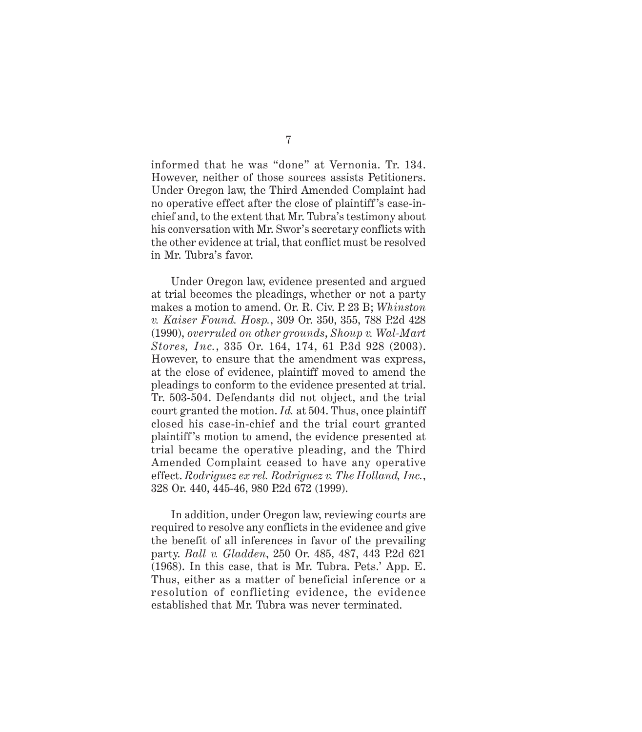informed that he was "done" at Vernonia. Tr. 134. However, neither of those sources assists Petitioners. Under Oregon law, the Third Amended Complaint had no operative effect after the close of plaintiff 's case-inchief and, to the extent that Mr. Tubra's testimony about his conversation with Mr. Swor's secretary conflicts with the other evidence at trial, that conflict must be resolved in Mr. Tubra's favor.

Under Oregon law, evidence presented and argued at trial becomes the pleadings, whether or not a party makes a motion to amend. Or. R. Civ. P. 23 B; *Whinston v. Kaiser Found. Hosp.*, 309 Or. 350, 355, 788 P.2d 428 (1990), *overruled on other grounds*, *Shoup v. Wal-Mart Stores, Inc.*, 335 Or. 164, 174, 61 P.3d 928 (2003). However, to ensure that the amendment was express, at the close of evidence, plaintiff moved to amend the pleadings to conform to the evidence presented at trial. Tr. 503-504. Defendants did not object, and the trial court granted the motion. *Id.* at 504. Thus, once plaintiff closed his case-in-chief and the trial court granted plaintiff 's motion to amend, the evidence presented at trial became the operative pleading, and the Third Amended Complaint ceased to have any operative effect. *Rodriguez ex rel. Rodriguez v. The Holland, Inc.*, 328 Or. 440, 445-46, 980 P.2d 672 (1999).

In addition, under Oregon law, reviewing courts are required to resolve any conflicts in the evidence and give the benefit of all inferences in favor of the prevailing party. *Ball v. Gladden*, 250 Or. 485, 487, 443 P.2d 621 (1968). In this case, that is Mr. Tubra. Pets.' App. E. Thus, either as a matter of beneficial inference or a resolution of conflicting evidence, the evidence established that Mr. Tubra was never terminated.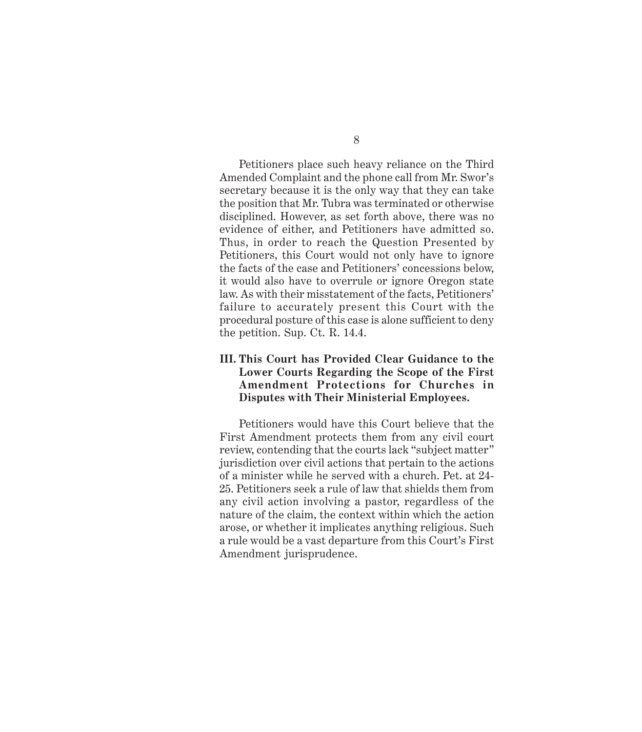Petitioners place such heavy reliance on the Third Amended Complaint and the phone call from Mr. Swor's secretary because it is the only way that they can take the position that Mr. Tubra was terminated or otherwise disciplined. However, as set forth above, there was no evidence of either, and Petitioners have admitted so. Thus, in order to reach the Question Presented by Petitioners, this Court would not only have to ignore the facts of the case and Petitioners' concessions below, it would also have to overrule or ignore Oregon state law. As with their misstatement of the facts, Petitioners' failure to accurately present this Court with the procedural posture of this case is alone sufficient to deny the petition. Sup. Ct. R. 14.4.

## **III. This Court has Provided Clear Guidance to the Lower Courts Regarding the Scope of the First Amendment Protections for Churches in Disputes with Their Ministerial Employees.**

Petitioners would have this Court believe that the First Amendment protects them from any civil court review, contending that the courts lack "subject matter" jurisdiction over civil actions that pertain to the actions of a minister while he served with a church. Pet. at 24- 25. Petitioners seek a rule of law that shields them from any civil action involving a pastor, regardless of the nature of the claim, the context within which the action arose, or whether it implicates anything religious. Such a rule would be a vast departure from this Court's First Amendment jurisprudence.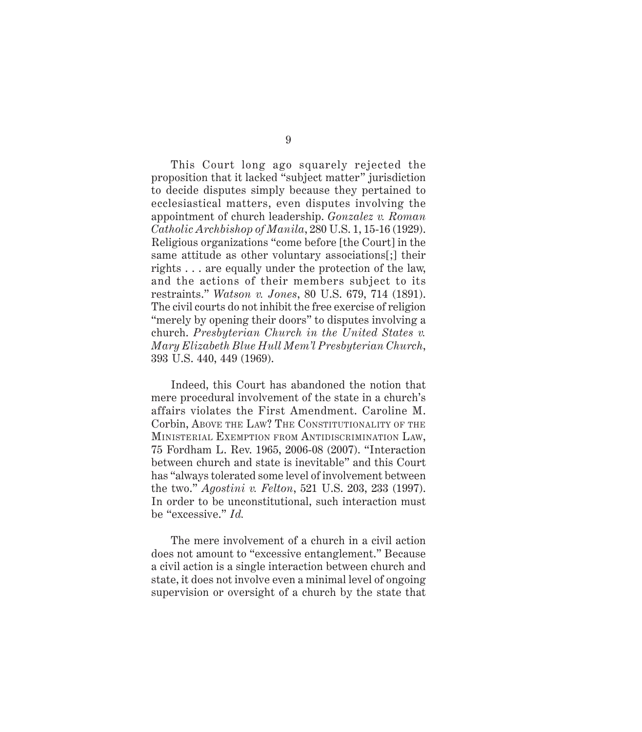This Court long ago squarely rejected the proposition that it lacked "subject matter" jurisdiction to decide disputes simply because they pertained to ecclesiastical matters, even disputes involving the appointment of church leadership. *Gonzalez v. Roman Catholic Archbishop of Manila*, 280 U.S. 1, 15-16 (1929). Religious organizations "come before [the Court] in the same attitude as other voluntary associations[;] their rights . . . are equally under the protection of the law, and the actions of their members subject to its restraints." *Watson v. Jones*, 80 U.S. 679, 714 (1891). The civil courts do not inhibit the free exercise of religion "merely by opening their doors" to disputes involving a church. *Presbyterian Church in the United States v. Mary Elizabeth Blue Hull Mem'l Presbyterian Church*, 393 U.S. 440, 449 (1969).

Indeed, this Court has abandoned the notion that mere procedural involvement of the state in a church's affairs violates the First Amendment. Caroline M. Corbin, ABOVE THE LAW? THE CONSTITUTIONALITY OF THE MINISTERIAL EXEMPTION FROM ANTIDISCRIMINATION LAW, 75 Fordham L. Rev. 1965, 2006-08 (2007). "Interaction between church and state is inevitable" and this Court has "always tolerated some level of involvement between the two." *Agostini v. Felton*, 521 U.S. 203, 233 (1997). In order to be unconstitutional, such interaction must be "excessive." *Id.*

The mere involvement of a church in a civil action does not amount to "excessive entanglement." Because a civil action is a single interaction between church and state, it does not involve even a minimal level of ongoing supervision or oversight of a church by the state that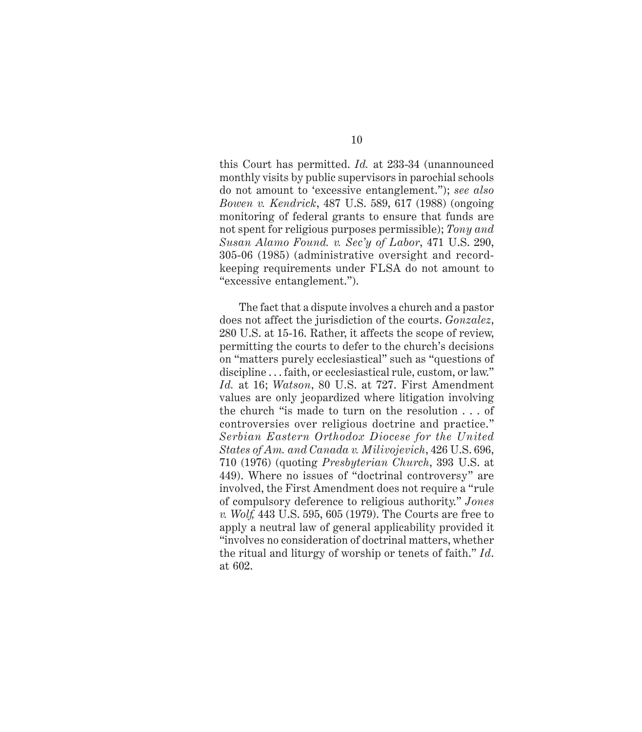this Court has permitted. *Id.* at 233-34 (unannounced monthly visits by public supervisors in parochial schools do not amount to 'excessive entanglement."); *see also Bowen v. Kendrick*, 487 U.S. 589, 617 (1988) (ongoing monitoring of federal grants to ensure that funds are not spent for religious purposes permissible); *Tony and Susan Alamo Found. v. Sec'y of Labor*, 471 U.S. 290, 305-06 (1985) (administrative oversight and recordkeeping requirements under FLSA do not amount to "excessive entanglement.").

The fact that a dispute involves a church and a pastor does not affect the jurisdiction of the courts. *Gonzalez*, 280 U.S. at 15-16. Rather, it affects the scope of review, permitting the courts to defer to the church's decisions on "matters purely ecclesiastical" such as "questions of discipline . . . faith, or ecclesiastical rule, custom, or law." *Id.* at 16; *Watson*, 80 U.S. at 727. First Amendment values are only jeopardized where litigation involving the church "is made to turn on the resolution . . . of controversies over religious doctrine and practice." *Serbian Eastern Orthodox Diocese for the United States of Am. and Canada v. Milivojevich*, 426 U.S. 696, 710 (1976) (quoting *Presbyterian Church*, 393 U.S. at 449). Where no issues of "doctrinal controversy" are involved, the First Amendment does not require a "rule of compulsory deference to religious authority." *Jones v. Wolf,* 443 U.S. 595, 605 (1979). The Courts are free to apply a neutral law of general applicability provided it "involves no consideration of doctrinal matters, whether the ritual and liturgy of worship or tenets of faith." *Id*. at 602.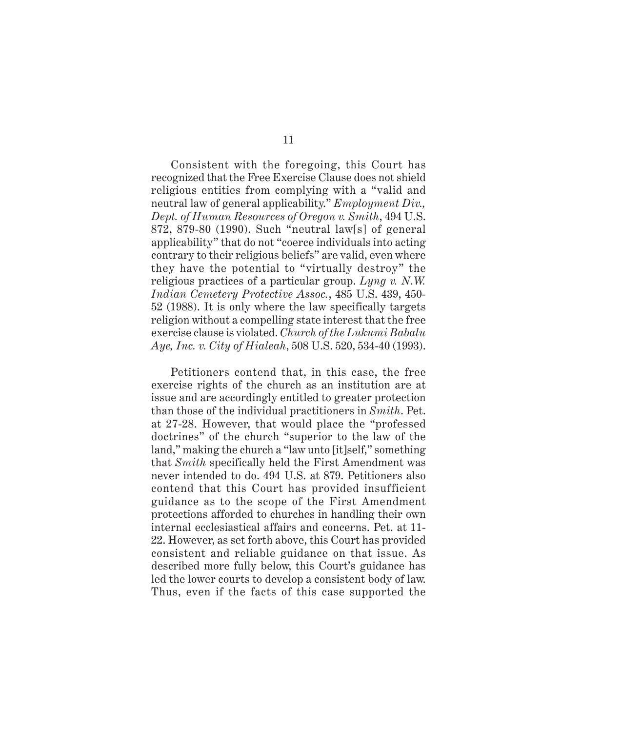Consistent with the foregoing, this Court has recognized that the Free Exercise Clause does not shield religious entities from complying with a "valid and neutral law of general applicability." *Employment Div., Dept. of Human Resources of Oregon v. Smith*, 494 U.S. 872, 879-80 (1990). Such "neutral law[s] of general applicability" that do not "coerce individuals into acting contrary to their religious beliefs" are valid, even where they have the potential to "virtually destroy" the religious practices of a particular group. *Lyng v. N.W. Indian Cemetery Protective Assoc.*, 485 U.S. 439, 450- 52 (1988). It is only where the law specifically targets religion without a compelling state interest that the free exercise clause is violated. *Church of the Lukumi Babalu Aye, Inc. v. City of Hialeah*, 508 U.S. 520, 534-40 (1993).

Petitioners contend that, in this case, the free exercise rights of the church as an institution are at issue and are accordingly entitled to greater protection than those of the individual practitioners in *Smith*. Pet. at 27-28. However, that would place the "professed doctrines" of the church "superior to the law of the land," making the church a "law unto [it]self," something that *Smith* specifically held the First Amendment was never intended to do. 494 U.S. at 879. Petitioners also contend that this Court has provided insufficient guidance as to the scope of the First Amendment protections afforded to churches in handling their own internal ecclesiastical affairs and concerns. Pet. at 11- 22. However, as set forth above, this Court has provided consistent and reliable guidance on that issue. As described more fully below, this Court's guidance has led the lower courts to develop a consistent body of law. Thus, even if the facts of this case supported the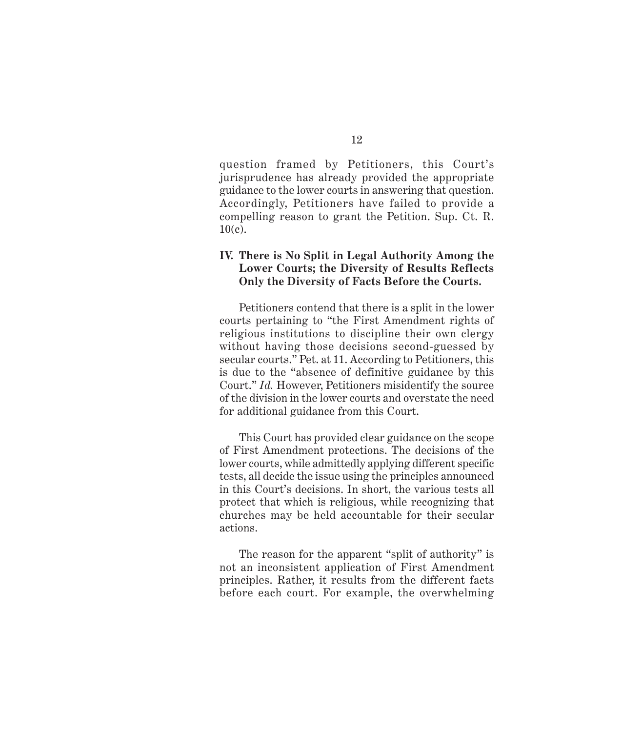question framed by Petitioners, this Court's jurisprudence has already provided the appropriate guidance to the lower courts in answering that question. Accordingly, Petitioners have failed to provide a compelling reason to grant the Petition. Sup. Ct. R.  $10(c)$ .

## **IV. There is No Split in Legal Authority Among the Lower Courts; the Diversity of Results Reflects Only the Diversity of Facts Before the Courts.**

Petitioners contend that there is a split in the lower courts pertaining to "the First Amendment rights of religious institutions to discipline their own clergy without having those decisions second-guessed by secular courts." Pet. at 11. According to Petitioners, this is due to the "absence of definitive guidance by this Court." *Id.* However, Petitioners misidentify the source of the division in the lower courts and overstate the need for additional guidance from this Court.

This Court has provided clear guidance on the scope of First Amendment protections. The decisions of the lower courts, while admittedly applying different specific tests, all decide the issue using the principles announced in this Court's decisions. In short, the various tests all protect that which is religious, while recognizing that churches may be held accountable for their secular actions.

The reason for the apparent "split of authority" is not an inconsistent application of First Amendment principles. Rather, it results from the different facts before each court. For example, the overwhelming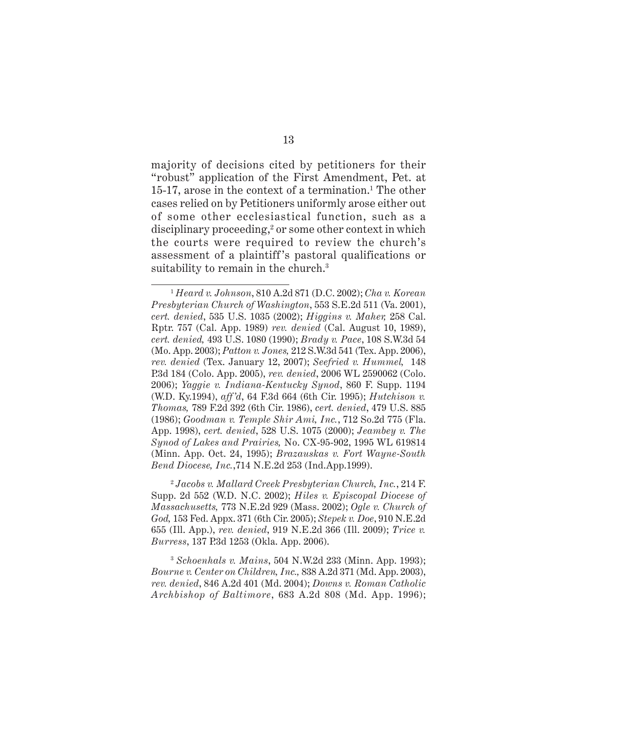majority of decisions cited by petitioners for their "robust" application of the First Amendment, Pet. at 15-17, arose in the context of a termination.<sup>1</sup> The other cases relied on by Petitioners uniformly arose either out of some other ecclesiastical function, such as a disciplinary proceeding,<sup>2</sup> or some other context in which the courts were required to review the church's assessment of a plaintiff 's pastoral qualifications or suitability to remain in the church.<sup>3</sup>

<sup>2</sup> *Jacobs v. Mallard Creek Presbyterian Church, Inc.*, 214 F. Supp. 2d 552 (W.D. N.C. 2002); *Hiles v. Episcopal Diocese of Massachusetts,* 773 N.E.2d 929 (Mass. 2002); *Ogle v. Church of God,* 153 Fed. Appx. 371 (6th Cir. 2005); *Stepek v. Doe*, 910 N.E.2d 655 (Ill. App.), *rev. denied*, 919 N.E.2d 366 (Ill. 2009); *Trice v. Burress*, 137 P.3d 1253 (Okla. App. 2006).

<sup>3</sup> *Schoenhals v. Mains*, 504 N.W.2d 233 (Minn. App. 1993); *Bourne v. Center on Children, Inc.,* 838 A.2d 371 (Md. App. 2003), *rev. denied*, 846 A.2d 401 (Md. 2004); *Downs v. Roman Catholic Archbishop of Baltimore*, 683 A.2d 808 (Md. App. 1996);

<sup>1</sup> *Heard v. Johnson*, 810 A.2d 871 (D.C. 2002); *Cha v. Korean Presbyterian Church of Washington*, 553 S.E.2d 511 (Va. 2001), *cert. denied*, 535 U.S. 1035 (2002); *Higgins v. Maher,* 258 Cal. Rptr. 757 (Cal. App. 1989) *rev. denied* (Cal. August 10, 1989), *cert. denied,* 493 U.S. 1080 (1990); *Brady v. Pace*, 108 S.W.3d 54 (Mo. App. 2003); *Patton v. Jones,* 212 S.W.3d 541 (Tex. App. 2006), *rev. denied* (Tex. January 12, 2007); *Seefried v. Hummel,* 148 P.3d 184 (Colo. App. 2005), *rev. denied*, 2006 WL 2590062 (Colo. 2006); *Yaggie v. Indiana-Kentucky Synod*, 860 F. Supp. 1194 (W.D. Ky.1994), *aff'd*, 64 F.3d 664 (6th Cir. 1995); *Hutchison v. Thomas,* 789 F.2d 392 (6th Cir. 1986), *cert. denied*, 479 U.S. 885 (1986); *Goodman v. Temple Shir Ami, Inc.*, 712 So.2d 775 (Fla. App. 1998), *cert. denied*, 528 U.S. 1075 (2000); *Jeambey v. The Synod of Lakes and Prairies,* No. CX-95-902, 1995 WL 619814 (Minn. App. Oct. 24, 1995); *Brazauskas v. Fort Wayne-South Bend Diocese, Inc.*,714 N.E.2d 253 (Ind.App.1999).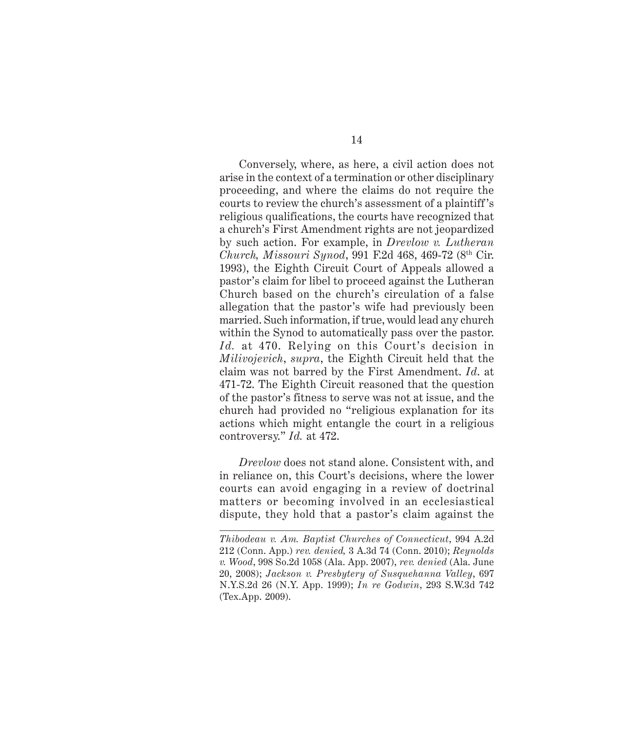Conversely, where, as here, a civil action does not arise in the context of a termination or other disciplinary proceeding, and where the claims do not require the courts to review the church's assessment of a plaintiff 's religious qualifications, the courts have recognized that a church's First Amendment rights are not jeopardized by such action. For example, in *Drevlow v. Lutheran Church, Missouri Synod*, 991 F.2d 468, 469-72 (8th Cir. 1993), the Eighth Circuit Court of Appeals allowed a pastor's claim for libel to proceed against the Lutheran Church based on the church's circulation of a false allegation that the pastor's wife had previously been married. Such information, if true, would lead any church within the Synod to automatically pass over the pastor. *Id.* at 470. Relying on this Court's decision in *Milivojevich*, *supra*, the Eighth Circuit held that the claim was not barred by the First Amendment. *Id*. at 471-72. The Eighth Circuit reasoned that the question of the pastor's fitness to serve was not at issue, and the church had provided no "religious explanation for its actions which might entangle the court in a religious controversy." *Id.* at 472.

*Drevlow* does not stand alone. Consistent with, and in reliance on, this Court's decisions, where the lower courts can avoid engaging in a review of doctrinal matters or becoming involved in an ecclesiastical dispute, they hold that a pastor's claim against the

*Thibodeau v. Am. Baptist Churches of Connecticut*, 994 A.2d 212 (Conn. App.) *rev. denied,* 3 A.3d 74 (Conn. 2010); *Reynolds v. Wood*, 998 So.2d 1058 (Ala. App. 2007), *rev. denied* (Ala. June 20, 2008); *Jackson v. Presbytery of Susquehanna Valley*, 697 N.Y.S.2d 26 (N.Y. App. 1999); *In re Godwin*, 293 S.W.3d 742 (Tex.App. 2009).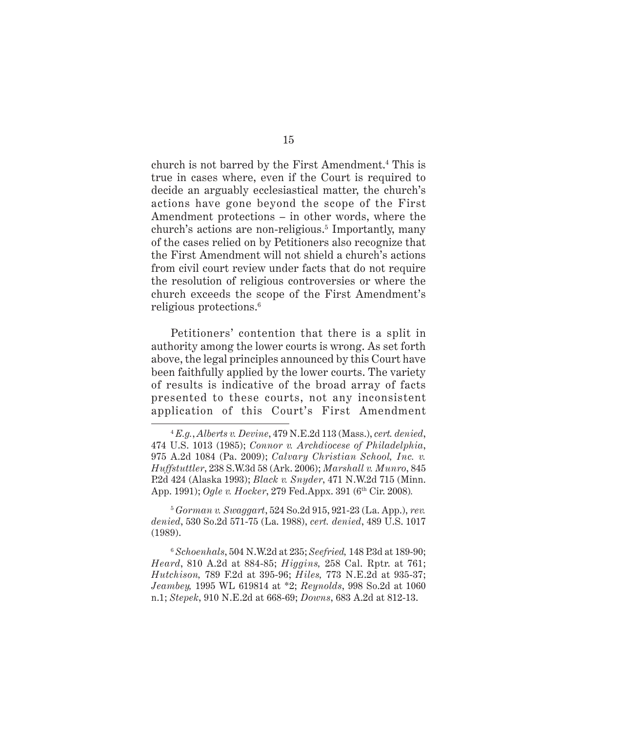church is not barred by the First Amendment.4 This is true in cases where, even if the Court is required to decide an arguably ecclesiastical matter, the church's actions have gone beyond the scope of the First Amendment protections – in other words, where the church's actions are non-religious.<sup>5</sup> Importantly, many of the cases relied on by Petitioners also recognize that the First Amendment will not shield a church's actions from civil court review under facts that do not require the resolution of religious controversies or where the church exceeds the scope of the First Amendment's religious protections.6

Petitioners' contention that there is a split in authority among the lower courts is wrong. As set forth above, the legal principles announced by this Court have been faithfully applied by the lower courts. The variety of results is indicative of the broad array of facts presented to these courts, not any inconsistent application of this Court's First Amendment

<sup>5</sup> *Gorman v. Swaggart*, 524 So.2d 915, 921-23 (La. App.), *rev. denied*, 530 So.2d 571-75 (La. 1988), *cert. denied*, 489 U.S. 1017 (1989).

<sup>6</sup> *Schoenhals*, 504 N.W.2d at 235; *Seefried,* 148 P.3d at 189-90; *Heard*, 810 A.2d at 884-85; *Higgins,* 258 Cal. Rptr. at 761; *Hutchison,* 789 F.2d at 395-96; *Hiles,* 773 N.E.2d at 935-37; *Jeambey,* 1995 WL 619814 at \*2; *Reynolds*, 998 So.2d at 1060 n.1; *Stepek*, 910 N.E.2d at 668-69; *Downs*, 683 A.2d at 812-13.

15

<sup>4</sup> *E.g.*, *Alberts v. Devine*, 479 N.E.2d 113 (Mass.), *cert. denied*, 474 U.S. 1013 (1985); *Connor v. Archdiocese of Philadelphia*, 975 A.2d 1084 (Pa. 2009); *Calvary Christian School, Inc. v. Huffstuttler*, 238 S.W.3d 58 (Ark. 2006); *Marshall v. Munro*, 845 P.2d 424 (Alaska 1993); *Black v. Snyder*, 471 N.W.2d 715 (Minn. App. 1991); *Ogle v. Hocker*, 279 Fed.Appx. 391 (6<sup>th</sup> Cir. 2008).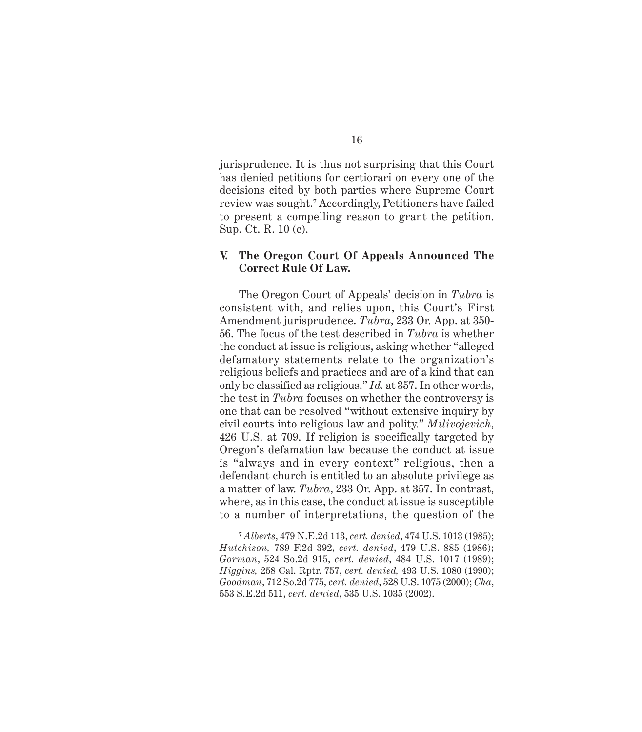jurisprudence. It is thus not surprising that this Court has denied petitions for certiorari on every one of the decisions cited by both parties where Supreme Court review was sought.7 Accordingly, Petitioners have failed to present a compelling reason to grant the petition. Sup. Ct. R. 10 (c).

## **V. The Oregon Court Of Appeals Announced The Correct Rule Of Law.**

The Oregon Court of Appeals' decision in *Tubra* is consistent with, and relies upon, this Court's First Amendment jurisprudence. *Tubra*, 233 Or. App. at 350- 56. The focus of the test described in *Tubra* is whether the conduct at issue is religious, asking whether "alleged defamatory statements relate to the organization's religious beliefs and practices and are of a kind that can only be classified as religious." *Id.* at 357. In other words, the test in *Tubra* focuses on whether the controversy is one that can be resolved "without extensive inquiry by civil courts into religious law and polity." *Milivojevich*, 426 U.S. at 709. If religion is specifically targeted by Oregon's defamation law because the conduct at issue is "always and in every context" religious, then a defendant church is entitled to an absolute privilege as a matter of law. *Tubra*, 233 Or. App. at 357. In contrast, where, as in this case, the conduct at issue is susceptible to a number of interpretations, the question of the

<sup>7</sup> *Alberts*, 479 N.E.2d 113, *cert. denied*, 474 U.S. 1013 (1985); *Hutchison,* 789 F.2d 392, *cert. denied*, 479 U.S. 885 (1986); *Gorman*, 524 So.2d 915, *cert. denied*, 484 U.S. 1017 (1989); *Higgins,* 258 Cal. Rptr. 757, *cert. denied,* 493 U.S. 1080 (1990); *Goodman*, 712 So.2d 775, *cert. denied*, 528 U.S. 1075 (2000); *Cha*, 553 S.E.2d 511, *cert. denied*, 535 U.S. 1035 (2002).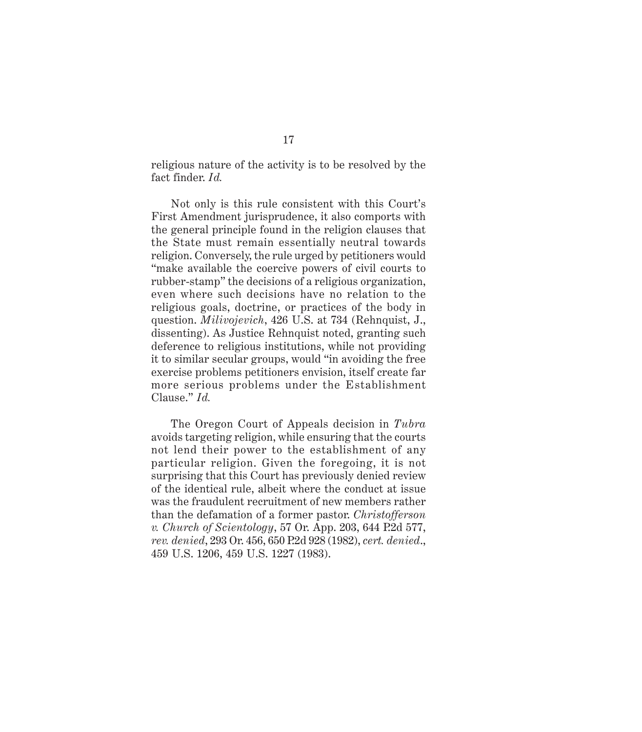religious nature of the activity is to be resolved by the fact finder. *Id.*

Not only is this rule consistent with this Court's First Amendment jurisprudence, it also comports with the general principle found in the religion clauses that the State must remain essentially neutral towards religion. Conversely, the rule urged by petitioners would "make available the coercive powers of civil courts to rubber-stamp" the decisions of a religious organization, even where such decisions have no relation to the religious goals, doctrine, or practices of the body in question. *Milivojevich*, 426 U.S. at 734 (Rehnquist, J., dissenting). As Justice Rehnquist noted, granting such deference to religious institutions, while not providing it to similar secular groups, would "in avoiding the free exercise problems petitioners envision, itself create far more serious problems under the Establishment Clause." *Id.*

The Oregon Court of Appeals decision in *Tubra* avoids targeting religion, while ensuring that the courts not lend their power to the establishment of any particular religion. Given the foregoing, it is not surprising that this Court has previously denied review of the identical rule, albeit where the conduct at issue was the fraudulent recruitment of new members rather than the defamation of a former pastor. *Christofferson v. Church of Scientology*, 57 Or. App. 203, 644 P.2d 577, *rev. denied*, 293 Or. 456, 650 P.2d 928 (1982), *cert. denied*., 459 U.S. 1206, 459 U.S. 1227 (1983).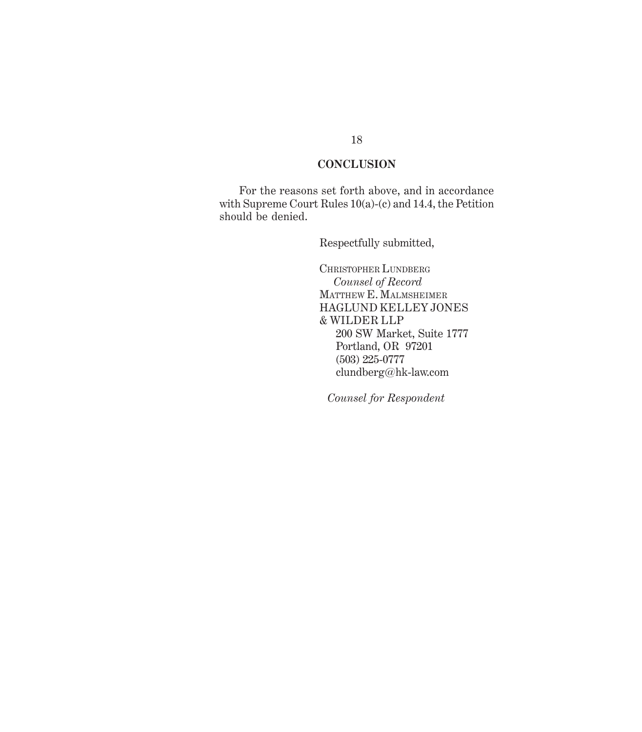## **CONCLUSION**

For the reasons set forth above, and in accordance with Supreme Court Rules 10(a)-(c) and 14.4, the Petition should be denied.

Respectfully submitted,

CHRISTOPHER LUNDBERG  *Counsel of Record* MATTHEW E. MALMSHEIMER HAGLUND KELLEY JONES & WILDER LLP 200 SW Market, Suite 1777 Portland, OR 97201 (503) 225-0777 clundberg@hk-law.com

*Counsel for Respondent*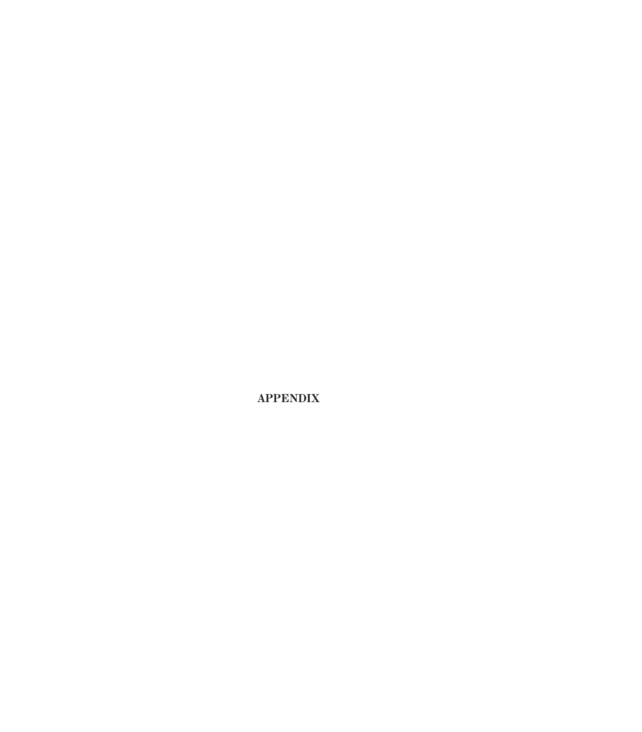**APPENDIX**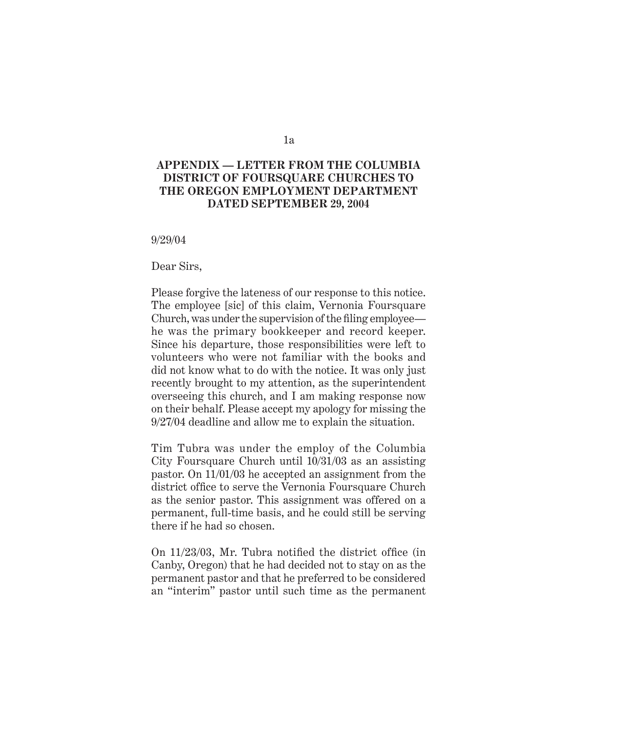# 1a

## *Appendix* **APPENDIX — LETTER FROM THE COLUMBIA DISTRICT OF FOURSQUARE CHURCHES TO THE OREGON EMPLOYMENT DEPARTMENT DATED SEPTEMBER 29, 2004**

9/29/04

Dear Sirs,

Please forgive the lateness of our response to this notice. The employee [sic] of this claim, Vernonia Foursquare Church, was under the supervision of the filing employee he was the primary bookkeeper and record keeper. Since his departure, those responsibilities were left to volunteers who were not familiar with the books and did not know what to do with the notice. It was only just recently brought to my attention, as the superintendent overseeing this church, and I am making response now on their behalf. Please accept my apology for missing the 9/27/04 deadline and allow me to explain the situation.

Tim Tubra was under the employ of the Columbia City Foursquare Church until 10/31/03 as an assisting pastor. On 11/01/03 he accepted an assignment from the district office to serve the Vernonia Foursquare Church as the senior pastor. This assignment was offered on a permanent, full-time basis, and he could still be serving there if he had so chosen.

On  $11/23/03$ , Mr. Tubra notified the district office (in Canby, Oregon) that he had decided not to stay on as the permanent pastor and that he preferred to be considered an "interim" pastor until such time as the permanent